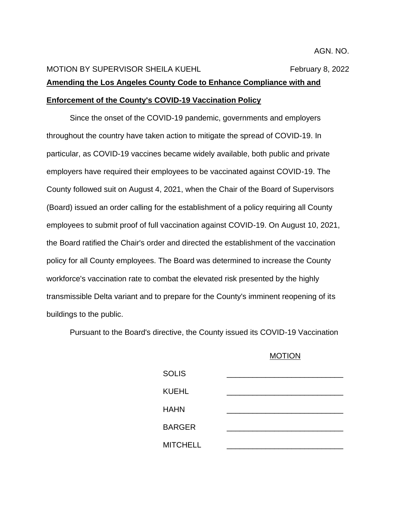## MOTION BY SUPERVISOR SHEILA KUEHL February 8, 2022 **Amending the Los Angeles County Code to Enhance Compliance with and Enforcement of the County's COVID-19 Vaccination Policy**

Since the onset of the COVID-19 pandemic, governments and employers throughout the country have taken action to mitigate the spread of COVID-19. In particular, as COVID-19 vaccines became widely available, both public and private employers have required their employees to be vaccinated against COVID-19. The County followed suit on August 4, 2021, when the Chair of the Board of Supervisors (Board) issued an order calling for the establishment of a policy requiring all County employees to submit proof of full vaccination against COVID-19. On August 10, 2021, the Board ratified the Chair's order and directed the establishment of the vaccination policy for all County employees. The Board was determined to increase the County workforce's vaccination rate to combat the elevated risk presented by the highly transmissible Delta variant and to prepare for the County's imminent reopening of its buildings to the public.

Pursuant to the Board's directive, the County issued its COVID-19 Vaccination

## MOTION

| <b>SOLIS</b>    |  |
|-----------------|--|
| <b>KUEHL</b>    |  |
| <b>HAHN</b>     |  |
|                 |  |
| <b>BARGER</b>   |  |
| <b>MITCHELL</b> |  |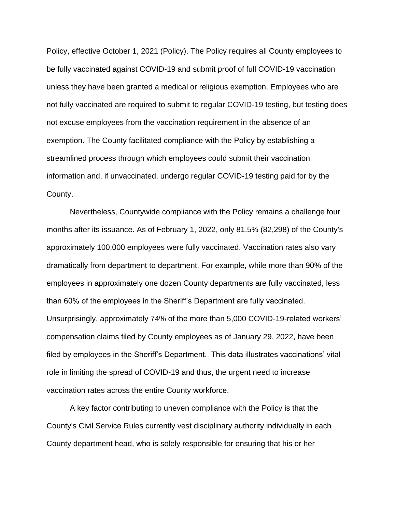Policy, effective October 1, 2021 (Policy). The Policy requires all County employees to be fully vaccinated against COVID-19 and submit proof of full COVID-19 vaccination unless they have been granted a medical or religious exemption. Employees who are not fully vaccinated are required to submit to regular COVID-19 testing, but testing does not excuse employees from the vaccination requirement in the absence of an exemption. The County facilitated compliance with the Policy by establishing a streamlined process through which employees could submit their vaccination information and, if unvaccinated, undergo regular COVID-19 testing paid for by the County.

Nevertheless, Countywide compliance with the Policy remains a challenge four months after its issuance. As of February 1, 2022, only 81.5% (82,298) of the County's approximately 100,000 employees were fully vaccinated. Vaccination rates also vary dramatically from department to department. For example, while more than 90% of the employees in approximately one dozen County departments are fully vaccinated, less than 60% of the employees in the Sheriff's Department are fully vaccinated. Unsurprisingly, approximately 74% of the more than 5,000 COVID-19-related workers' compensation claims filed by County employees as of January 29, 2022, have been filed by employees in the Sheriff's Department. This data illustrates vaccinations' vital role in limiting the spread of COVID-19 and thus, the urgent need to increase vaccination rates across the entire County workforce.

A key factor contributing to uneven compliance with the Policy is that the County's Civil Service Rules currently vest disciplinary authority individually in each County department head, who is solely responsible for ensuring that his or her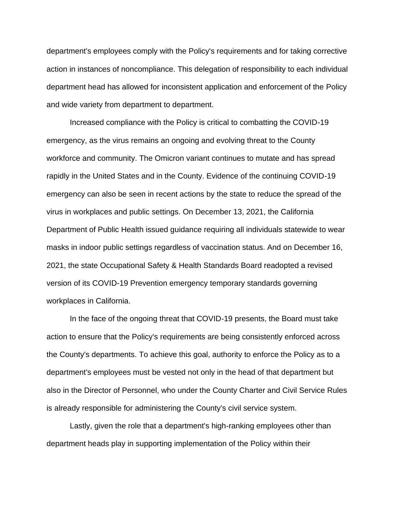department's employees comply with the Policy's requirements and for taking corrective action in instances of noncompliance. This delegation of responsibility to each individual department head has allowed for inconsistent application and enforcement of the Policy and wide variety from department to department.

Increased compliance with the Policy is critical to combatting the COVID-19 emergency, as the virus remains an ongoing and evolving threat to the County workforce and community. The Omicron variant continues to mutate and has spread rapidly in the United States and in the County. Evidence of the continuing COVID-19 emergency can also be seen in recent actions by the state to reduce the spread of the virus in workplaces and public settings. On December 13, 2021, the California Department of Public Health issued guidance requiring all individuals statewide to wear masks in indoor public settings regardless of vaccination status. And on December 16, 2021, the state Occupational Safety & Health Standards Board readopted a revised version of its COVID-19 Prevention emergency temporary standards governing workplaces in California.

In the face of the ongoing threat that COVID-19 presents, the Board must take action to ensure that the Policy's requirements are being consistently enforced across the County's departments. To achieve this goal, authority to enforce the Policy as to a department's employees must be vested not only in the head of that department but also in the Director of Personnel, who under the County Charter and Civil Service Rules is already responsible for administering the County's civil service system.

Lastly, given the role that a department's high-ranking employees other than department heads play in supporting implementation of the Policy within their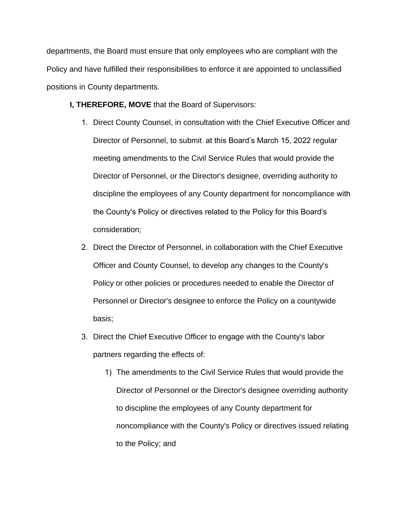departments, the Board must ensure that only employees who are compliant with the Policy and have fulfilled their responsibilities to enforce it are appointed to unclassified positions in County departments.

## **I, THEREFORE, MOVE** that the Board of Supervisors:

- 1. Direct County Counsel, in consultation with the Chief Executive Officer and Director of Personnel, to submit at this Board's March 15, 2022 regular meeting amendments to the Civil Service Rules that would provide the Director of Personnel, or the Director's designee, overriding authority to discipline the employees of any County department for noncompliance with the County's Policy or directives related to the Policy for this Board's consideration;
- 2. Direct the Director of Personnel, in collaboration with the Chief Executive Officer and County Counsel, to develop any changes to the County's Policy or other policies or procedures needed to enable the Director of Personnel or Director's designee to enforce the Policy on a countywide basis;
- 3. Direct the Chief Executive Officer to engage with the County's labor partners regarding the effects of:
	- 1) The amendments to the Civil Service Rules that would provide the Director of Personnel or the Director's designee overriding authority to discipline the employees of any County department for noncompliance with the County's Policy or directives issued relating to the Policy; and